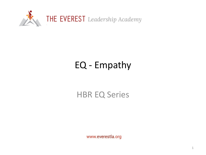

# EQ - Empathy

### HBR EQ Series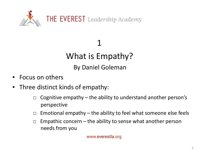

1 What is Empathy? By Daniel Goleman

- Focus on others
- Three distinct kinds of empathy:
	- $\Box$  Cognitive empathy the ability to understand another person's perspective
	- $\Box$  Emotional empathy the ability to feel what someone else feels
	- $\Box$  Empathic concern the ability to sense what another person needs from you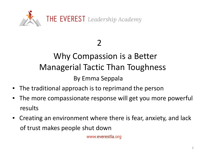

## Why Compassion is a Better Managerial Tactic Than Toughness By Emma Seppala

- **•** The traditional approach is to reprimand the person
- The more compassionate response will get you more powerful results
- Creating an environment where there is fear, anxiety, and lack of trust makes people shut down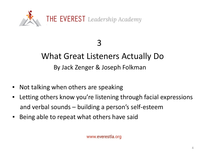

## What Great Listeners Actually Do By Jack Zenger & Joseph Folkman

- Not talking when others are speaking
- Letting others know you're listening through facial expressions and verbal sounds – building a person's self-esteem
- Being able to repeat what others have said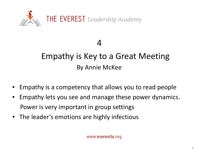

## Empathy is Key to a Great Meeting By Annie McKee

- Empathy is a competency that allows you to read people
- Empathy lets you see and manage these power dynamics. Power is very important in group settings
- The leader's emotions are highly infectious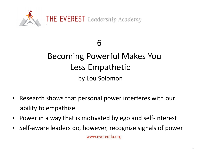

## Becoming Powerful Makes You Less Empathetic by Lou Solomon

- Research shows that personal power interferes with our ability to empathize
- Power in a way that is motivated by ego and self-interest
- Self-aware leaders do, however, recognize signals of power